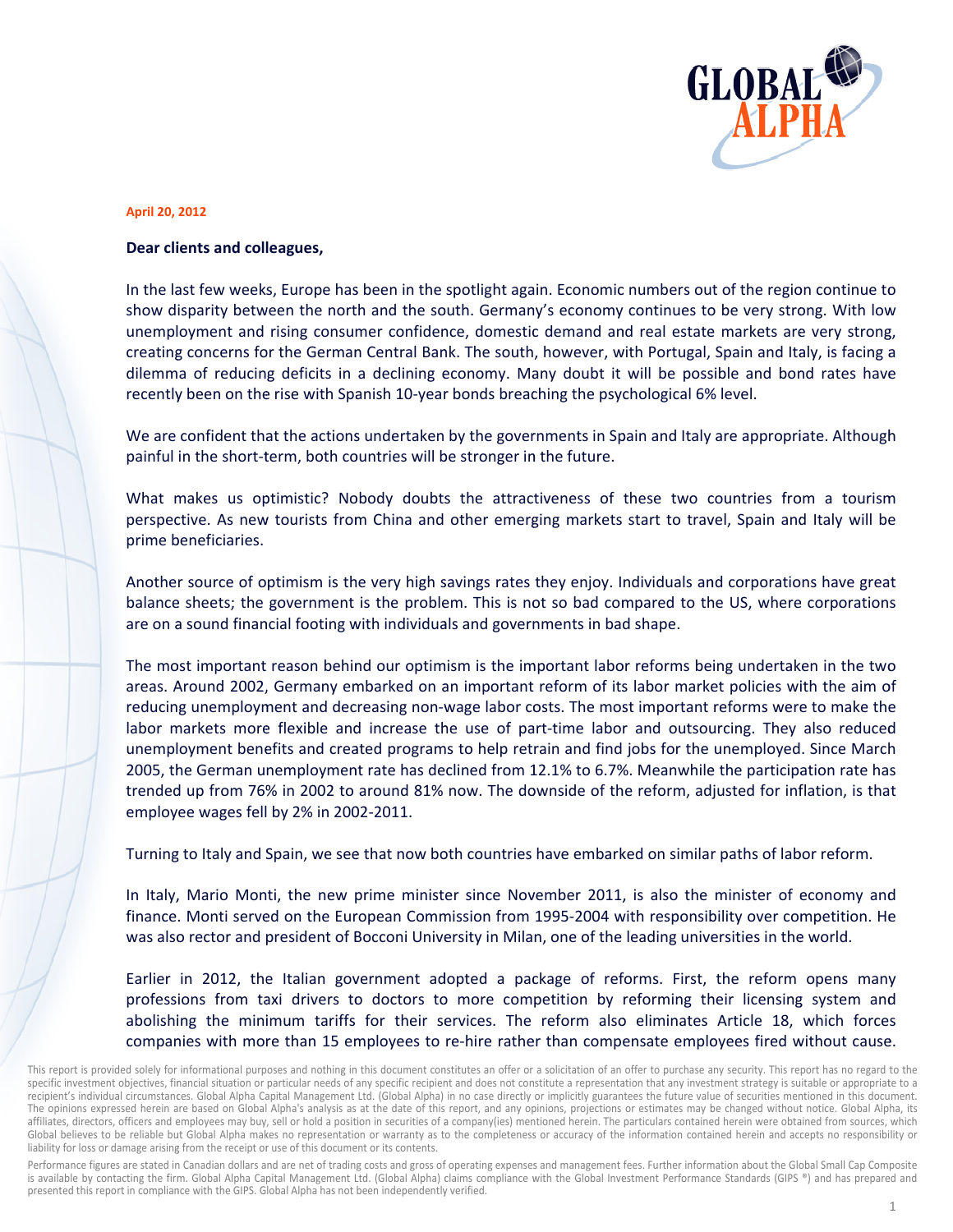

## **April 20, 2012**

## **Dear clients and colleagues,**

In the last few weeks, Europe has been in the spotlight again. Economic numbers out of the region continue to<br>show disparity between the north and the south. Germany's economy continues to be very strong. With low<br>unemploy show disparity between the north and the south. Germany's economy continues to be very strong. With low unemployment and rising consumer confidence, domestic demand and real estate markets are very strong creating concerns for the German Central Bank. The south, however, with Portugal, Spain and Italy, is facing a dilemma of reducing deficits in a declining economy. Many doubt it will be possible and bond rates have recently been on the rise with Spanish 10-year bonds breaching the psychological 6% level.

We are confident that the actions undertaken by the governments in Spain and Italy are appropriate. Although painful in the short-term, both countries will be stronger in the future.

What makes us optimistic? Nobody doubts the attractiveness of these two countries from a tourism perspective. As new tourists from China and other emerging markets start to travel, Spain and Italy will be prime b beneficiaries. ve<br>gh<br>at<br>at

Another source of optimism is the very high savings rates they enjoy. Individuals and corporations have grea balance sheets; the government is the problem. This is not so bad compared to the US, where corporations are on a sound financial footing with individuals and governments in bad shape.

The most important reason behind our optimism is the important labor reforms being undertaken in the two The most important reason behind our optimism is the important labor reforms being undertaken in the two<br>areas. Around 2002, Germany embarked on an important reform of its labor market policies with the aim of reducing unemployment and decreasing non-wage labor costs. The most important reforms were to make the labor markets more flexible and increase the use of part-time labor and outsourcing. They also reduced unemployment benefits and created programs to help retrain and find jobs for the unemployed. Since March 2005, the German unemployment rate has declined from 12.1% to 6.7%. Meanwhile the participation rate ha trended up from 76% in 2002 to around 81% now. The downside of the reform, adjusted for inflation, is that employ ee wages fell by 2% in 200 02-2011. e<br>d<br>h<br>is

Turning to Italy and Spain, we see that now both countries have embarked on similar paths of labor reform.

In Italy, Mario Monti, the new prime minister since November 2011, is also the minister of economy and finance. Monti served on the European Commission from 1995-2004 with responsibility over competition. He was also rector and president of Bocconi University in Milan, one of the leading universities in the world.

Earlier in 2012, the Italian government adopted a package of reforms. First, the reform opens many professions from taxi drivers to doctors to more competition by reforming their licensing system and abolishing the minimum tariffs for their services. The reform also eliminates Article 18, which force companies with more than 15 employees to re-hire rather than compensate employees fired without cause. de<br>Y<br>!S

Performance figures are stated in Canadian dollars and are net of trading costs and gross of operating expenses and management fees. Further information about the Global Small Cap Composite is available by contacting the firm. Global Alpha Capital Management Ltd. (Global Alpha) claims compliance with the Global Investment Performance Standards (GIPS ®) and has prepared and presented this report in compliance with the GIPS. Global Alpha has not been independently verified.

This report is provided solely for informational purposes and nothing in this document constitutes an offer or a solicitation of an offer to purchase any security. This report has no regard to the specific investment objectives, financial situation or particular needs of any specific recipient and does not constitute a representation that any investment strategy is suitable or appropriate to a recipient's individual circumstances. Global Alpha Capital Management Ltd. (Global Alpha) in no case directly or implicitly guarantees the future value of securities mentioned in this document. The opinions expressed herein are based on Global Alpha's analysis as at the date of this report, and any opinions, projections or estimates may be changed without notice. Global Alpha, its affiliates, directors, officers and employees may buy, sell or hold a position in securities of a company(ies) mentioned herein. The particulars contained herein were obtained from sources, which Global believes to be reliable but Global Alpha makes no representation or warranty as to the completeness or accuracy of the information contained herein and accepts no responsibility or liability for loss or damage arising from the receipt or use of this document or its contents.